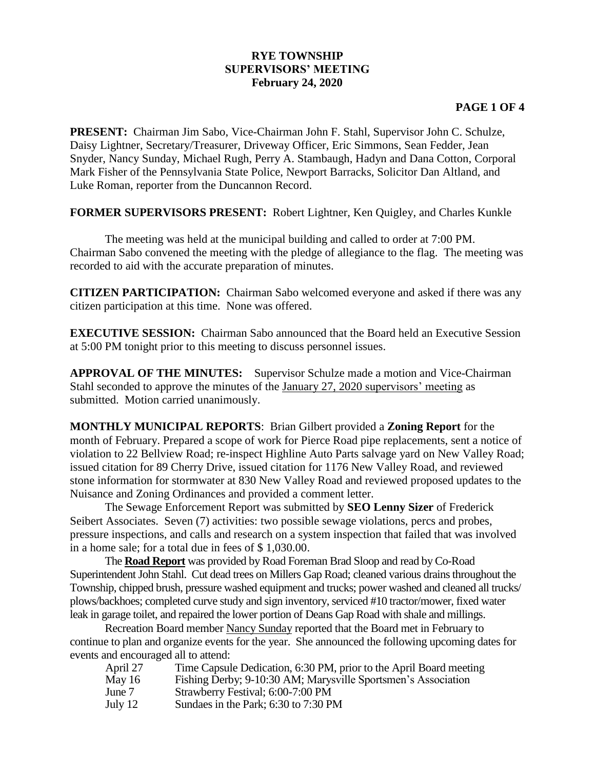## **RYE TOWNSHIP SUPERVISORS' MEETING February 24, 2020**

## **PAGE 1 OF 4**

**PRESENT:** Chairman Jim Sabo, Vice-Chairman John F. Stahl, Supervisor John C. Schulze, Daisy Lightner, Secretary/Treasurer, Driveway Officer, Eric Simmons, Sean Fedder, Jean Snyder, Nancy Sunday, Michael Rugh, Perry A. Stambaugh, Hadyn and Dana Cotton, Corporal Mark Fisher of the Pennsylvania State Police, Newport Barracks, Solicitor Dan Altland, and Luke Roman, reporter from the Duncannon Record.

**FORMER SUPERVISORS PRESENT:** Robert Lightner, Ken Quigley, and Charles Kunkle

The meeting was held at the municipal building and called to order at 7:00 PM. Chairman Sabo convened the meeting with the pledge of allegiance to the flag. The meeting was recorded to aid with the accurate preparation of minutes.

**CITIZEN PARTICIPATION:** Chairman Sabo welcomed everyone and asked if there was any citizen participation at this time. None was offered.

**EXECUTIVE SESSION:** Chairman Sabo announced that the Board held an Executive Session at 5:00 PM tonight prior to this meeting to discuss personnel issues.

**APPROVAL OF THE MINUTES:** Supervisor Schulze made a motion and Vice-Chairman Stahl seconded to approve the minutes of the January 27, 2020 supervisors' meeting as submitted. Motion carried unanimously.

**MONTHLY MUNICIPAL REPORTS**: Brian Gilbert provided a **Zoning Report** for the month of February. Prepared a scope of work for Pierce Road pipe replacements, sent a notice of violation to 22 Bellview Road; re-inspect Highline Auto Parts salvage yard on New Valley Road; issued citation for 89 Cherry Drive, issued citation for 1176 New Valley Road, and reviewed stone information for stormwater at 830 New Valley Road and reviewed proposed updates to the Nuisance and Zoning Ordinances and provided a comment letter.

The Sewage Enforcement Report was submitted by **SEO Lenny Sizer** of Frederick Seibert Associates. Seven (7) activities: two possible sewage violations, percs and probes, pressure inspections, and calls and research on a system inspection that failed that was involved in a home sale; for a total due in fees of \$ 1,030.00.

The **Road Report** was provided by Road Foreman Brad Sloop and read by Co-Road Superintendent John Stahl. Cut dead trees on Millers Gap Road; cleaned various drains throughout the Township, chipped brush, pressure washed equipment and trucks; power washed and cleaned all trucks/ plows/backhoes; completed curve study and sign inventory, serviced #10 tractor/mower, fixed water leak in garage toilet, and repaired the lower portion of Deans Gap Road with shale and millings.

Recreation Board member Nancy Sunday reported that the Board met in February to continue to plan and organize events for the year. She announced the following upcoming dates for events and encouraged all to attend:

April 27 Time Capsule Dedication, 6:30 PM, prior to the April Board meeting May 16 Fishing Derby; 9-10:30 AM; Marysville Sportsmen's Association June 7 Strawberry Festival; 6:00-7:00 PM July 12 Sundaes in the Park; 6:30 to 7:30 PM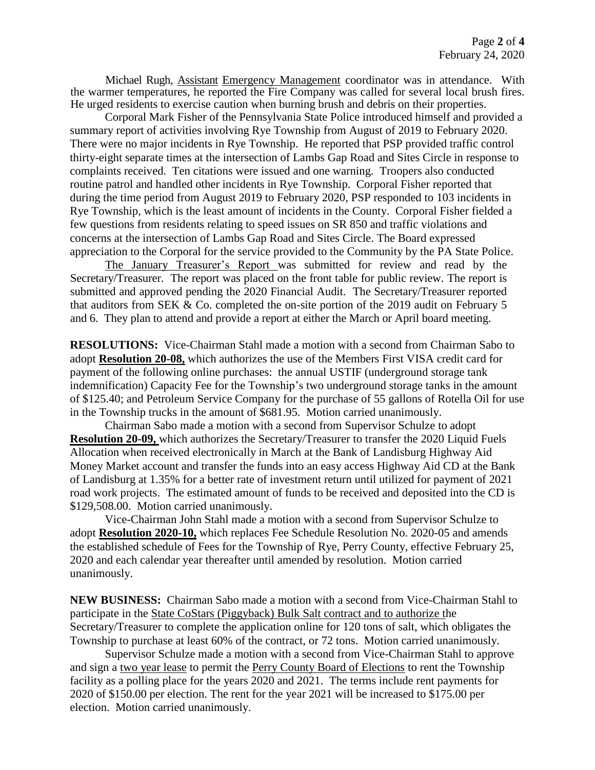Michael Rugh, Assistant Emergency Management coordinator was in attendance. With the warmer temperatures, he reported the Fire Company was called for several local brush fires. He urged residents to exercise caution when burning brush and debris on their properties.

Corporal Mark Fisher of the Pennsylvania State Police introduced himself and provided a summary report of activities involving Rye Township from August of 2019 to February 2020. There were no major incidents in Rye Township. He reported that PSP provided traffic control thirty-eight separate times at the intersection of Lambs Gap Road and Sites Circle in response to complaints received. Ten citations were issued and one warning. Troopers also conducted routine patrol and handled other incidents in Rye Township. Corporal Fisher reported that during the time period from August 2019 to February 2020, PSP responded to 103 incidents in Rye Township, which is the least amount of incidents in the County. Corporal Fisher fielded a few questions from residents relating to speed issues on SR 850 and traffic violations and concerns at the intersection of Lambs Gap Road and Sites Circle. The Board expressed appreciation to the Corporal for the service provided to the Community by the PA State Police.

The January Treasurer's Report was submitted for review and read by the Secretary/Treasurer. The report was placed on the front table for public review. The report is submitted and approved pending the 2020 Financial Audit. The Secretary/Treasurer reported that auditors from SEK & Co. completed the on-site portion of the 2019 audit on February 5 and 6. They plan to attend and provide a report at either the March or April board meeting.

**RESOLUTIONS:** Vice-Chairman Stahl made a motion with a second from Chairman Sabo to adopt **Resolution 20-08,** which authorizes the use of the Members First VISA credit card for payment of the following online purchases: the annual USTIF (underground storage tank indemnification) Capacity Fee for the Township's two underground storage tanks in the amount of \$125.40; and Petroleum Service Company for the purchase of 55 gallons of Rotella Oil for use in the Township trucks in the amount of \$681.95. Motion carried unanimously.

Chairman Sabo made a motion with a second from Supervisor Schulze to adopt **Resolution 20-09,** which authorizes the Secretary/Treasurer to transfer the 2020 Liquid Fuels Allocation when received electronically in March at the Bank of Landisburg Highway Aid Money Market account and transfer the funds into an easy access Highway Aid CD at the Bank of Landisburg at 1.35% for a better rate of investment return until utilized for payment of 2021 road work projects. The estimated amount of funds to be received and deposited into the CD is \$129,508.00. Motion carried unanimously.

Vice-Chairman John Stahl made a motion with a second from Supervisor Schulze to adopt **Resolution 2020-10,** which replaces Fee Schedule Resolution No. 2020-05 and amends the established schedule of Fees for the Township of Rye, Perry County, effective February 25, 2020 and each calendar year thereafter until amended by resolution. Motion carried unanimously.

**NEW BUSINESS:** Chairman Sabo made a motion with a second from Vice-Chairman Stahl to participate in the State CoStars (Piggyback) Bulk Salt contract and to authorize the Secretary/Treasurer to complete the application online for 120 tons of salt, which obligates the Township to purchase at least 60% of the contract, or 72 tons. Motion carried unanimously.

Supervisor Schulze made a motion with a second from Vice-Chairman Stahl to approve and sign a two year lease to permit the Perry County Board of Elections to rent the Township facility as a polling place for the years 2020 and 2021. The terms include rent payments for 2020 of \$150.00 per election. The rent for the year 2021 will be increased to \$175.00 per election. Motion carried unanimously.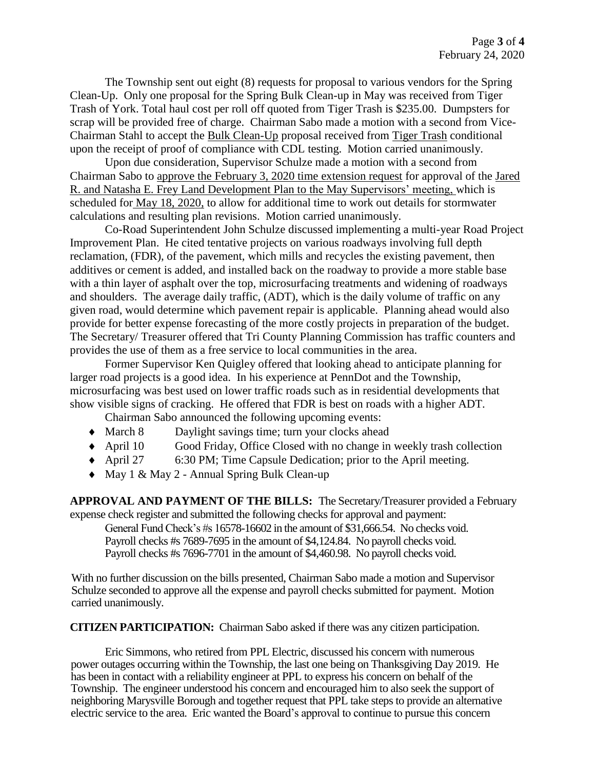The Township sent out eight (8) requests for proposal to various vendors for the Spring Clean-Up. Only one proposal for the Spring Bulk Clean-up in May was received from Tiger Trash of York. Total haul cost per roll off quoted from Tiger Trash is \$235.00. Dumpsters for scrap will be provided free of charge. Chairman Sabo made a motion with a second from Vice-Chairman Stahl to accept the Bulk Clean-Up proposal received from Tiger Trash conditional upon the receipt of proof of compliance with CDL testing. Motion carried unanimously.

Upon due consideration, Supervisor Schulze made a motion with a second from Chairman Sabo to approve the February 3, 2020 time extension request for approval of the Jared R. and Natasha E. Frey Land Development Plan to the May Supervisors' meeting, which is scheduled for May 18, 2020, to allow for additional time to work out details for stormwater calculations and resulting plan revisions. Motion carried unanimously.

Co-Road Superintendent John Schulze discussed implementing a multi-year Road Project Improvement Plan. He cited tentative projects on various roadways involving full depth reclamation, (FDR), of the pavement, which mills and recycles the existing pavement, then additives or cement is added, and installed back on the roadway to provide a more stable base with a thin layer of asphalt over the top, microsurfacing treatments and widening of roadways and shoulders. The average daily traffic, (ADT), which is the daily volume of traffic on any given road, would determine which pavement repair is applicable. Planning ahead would also provide for better expense forecasting of the more costly projects in preparation of the budget. The Secretary/ Treasurer offered that Tri County Planning Commission has traffic counters and provides the use of them as a free service to local communities in the area.

Former Supervisor Ken Quigley offered that looking ahead to anticipate planning for larger road projects is a good idea. In his experience at PennDot and the Township, microsurfacing was best used on lower traffic roads such as in residential developments that show visible signs of cracking. He offered that FDR is best on roads with a higher ADT.

Chairman Sabo announced the following upcoming events:

- March 8 Daylight savings time; turn your clocks ahead
- April 10 Good Friday, Office Closed with no change in weekly trash collection
- April 27 6:30 PM; Time Capsule Dedication; prior to the April meeting.
- ◆ May 1 & May 2 Annual Spring Bulk Clean-up

**APPROVAL AND PAYMENT OF THE BILLS:** The Secretary/Treasurer provided a February expense check register and submitted the following checks for approval and payment:

General Fund Check's #s 16578-16602 in the amount of \$31,666.54. No checks void. Payroll checks #s 7689-7695 in the amount of \$4,124.84. No payroll checks void. Payroll checks #s 7696-7701 in the amount of \$4,460.98. No payroll checks void.

With no further discussion on the bills presented, Chairman Sabo made a motion and Supervisor Schulze seconded to approve all the expense and payroll checks submitted for payment. Motion carried unanimously.

**CITIZEN PARTICIPATION:** Chairman Sabo asked if there was any citizen participation.

Eric Simmons, who retired from PPL Electric, discussed his concern with numerous power outages occurring within the Township, the last one being on Thanksgiving Day 2019. He has been in contact with a reliability engineer at PPL to express his concern on behalf of the Township. The engineer understood his concern and encouraged him to also seek the support of neighboring Marysville Borough and together request that PPL take steps to provide an alternative electric service to the area. Eric wanted the Board's approval to continue to pursue this concern